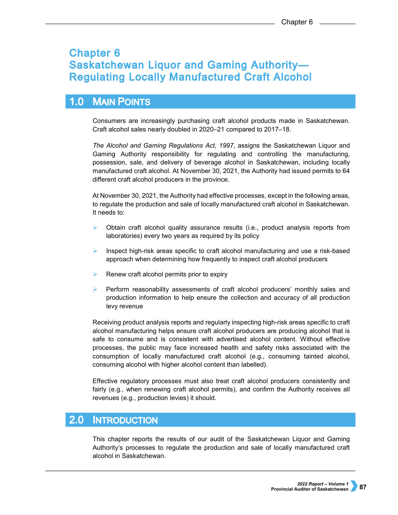# **Chapter 6 Saskatchewan Liquor and Gaming Authority-Regulating Locally Manufactured Craft Alcohol**

#### $1.0$ **MAIN POINTS**

Consumers are increasingly purchasing craft alcohol products made in Saskatchewan. Craft alcohol sales nearly doubled in 2020–21 compared to 2017–18.

*The Alcohol and Gaming Regulations Act, 1997*, assigns the Saskatchewan Liquor and Gaming Authority responsibility for regulating and controlling the manufacturing, possession, sale, and delivery of beverage alcohol in Saskatchewan, including locally manufactured craft alcohol. At November 30, 2021, the Authority had issued permits to 64 different craft alcohol producers in the province.

At November 30, 2021, the Authority had effective processes, except in the following areas, to regulate the production and sale of locally manufactured craft alcohol in Saskatchewan. It needs to:

- Obtain craft alcohol quality assurance results (i.e., product analysis reports from laboratories) every two years as required by its policy
- Inspect high-risk areas specific to craft alcohol manufacturing and use a risk-based approach when determining how frequently to inspect craft alcohol producers
- Renew craft alcohol permits prior to expiry
- Perform reasonability assessments of craft alcohol producers' monthly sales and production information to help ensure the collection and accuracy of all production levy revenue

Receiving product analysis reports and regularly inspecting high-risk areas specific to craft alcohol manufacturing helps ensure craft alcohol producers are producing alcohol that is safe to consume and is consistent with advertised alcohol content. Without effective processes, the public may face increased health and safety risks associated with the consumption of locally manufactured craft alcohol (e.g., consuming tainted alcohol, consuming alcohol with higher alcohol content than labelled).

Effective regulatory processes must also treat craft alcohol producers consistently and fairly (e.g., when renewing craft alcohol permits), and confirm the Authority receives all revenues (e.g., production levies) it should.

#### $2.0$ **INTRODUCTION**

This chapter reports the results of our audit of the Saskatchewan Liquor and Gaming Authority's processes to regulate the production and sale of locally manufactured craft alcohol in Saskatchewan.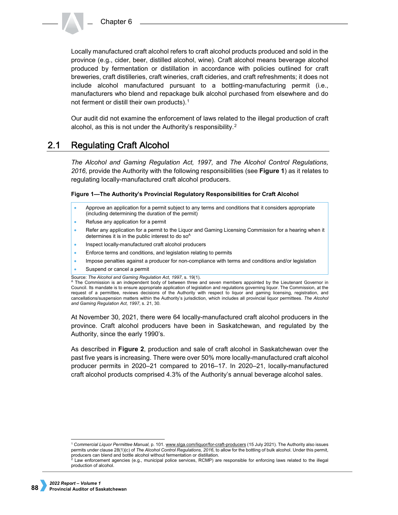Locally manufactured craft alcohol refers to craft alcohol products produced and sold in the province (e.g., cider, beer, distilled alcohol, wine). Craft alcohol means beverage alcohol produced by fermentation or distillation in accordance with policies outlined for craft breweries, craft distilleries, craft wineries, craft cideries, and craft refreshments; it does not include alcohol manufactured pursuant to a bottling-manufacturing permit (i.e., manufacturers who blend and repackage bulk alcohol purchased from elsewhere and do not ferment or distill their own products).<sup>[1](#page-1-0)</sup>

Our audit did not examine the enforcement of laws related to the illegal production of craft alcohol, as this is not under the Authority's responsibility.[2](#page-1-1)

#### $2.1$ **Regulating Craft Alcohol**

*The Alcohol and Gaming Regulation Act, 1997,* and *The Alcohol Control Regulations, 2016,* provide the Authority with the following responsibilities (see **Figure 1**) as it relates to regulating locally-manufactured craft alcohol producers.

### **Figure 1—The Authority's Provincial Regulatory Responsibilities for Craft Alcohol**

- Approve an application for a permit subject to any terms and conditions that it considers appropriate (including determining the duration of the permit)
- Refuse any application for a permit
- Refer any application for a permit to the Liquor and Gaming Licensing Commission for a hearing when it determines it is in the public interest to do  $so<sup>A</sup>$
- Inspect locally-manufactured craft alcohol producers
- Enforce terms and conditions, and legislation relating to permits
- Impose penalties against a producer for non-compliance with terms and conditions and/or legislation
- Suspend or cancel a permit
- Source: *The Alcohol and Gaming Regulation Act, 1997*, s. 19(1).

A The Commission is an independent body of between three and seven members appointed by the Lieutenant Governor in Council. Its mandate is to ensure appropriate application of legislation and regulations governing liquor. The Commission, at the request of a permittee, reviews decisions of the Authority with respect to liquor and gaming licensing, registration, and cancellations/suspension matters within the Authority's jurisdiction, which includes all provincial liquor permittees. *The Alcohol and Gaming Regulation Act, 1997*, s. 21, 30.

At November 30, 2021, there were 64 locally-manufactured craft alcohol producers in the province. Craft alcohol producers have been in Saskatchewan, and regulated by the Authority, since the early 1990's.

As described in **Figure 2**, production and sale of craft alcohol in Saskatchewan over the past five years is increasing. There were over 50% more locally-manufactured craft alcohol producer permits in 2020–21 compared to 2016–17. In 2020–21, locally-manufactured craft alcohol products comprised 4.3% of the Authority's annual beverage alcohol sales.

<span id="page-1-0"></span> <sup>1</sup> *Commercial Liquor Permittee Manual*, p. 101[. www.slga.com/liquor/for-craft-producers](http://www.slga.com/liquor/for-craft-producers) (15 July 2021). The Authority also issues permits under clause 28(1)(c) of *The Alcohol Control Regulations, 2016*, to allow for the bottling of bulk alcohol. Under this permit, producers can blend and bottle alcohol without fermentation or distillation.

<span id="page-1-1"></span> $2$  Law enforcement agencies (e.g., municipal police services, RCMP) are responsible for enforcing laws related to the illegal production of alcohol.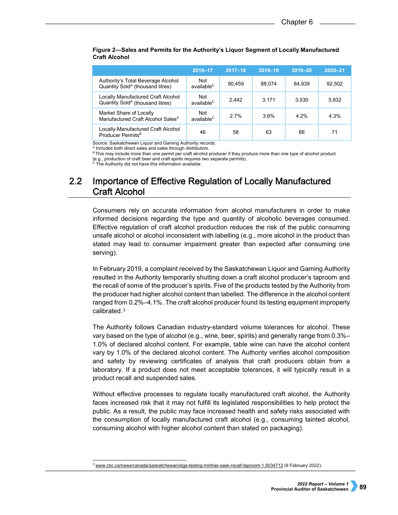|                                                                                    | 2016-17                       | $2017 - 18$ | $2018 - 19$ | $2019 - 20$ | $2020 - 21$ |
|------------------------------------------------------------------------------------|-------------------------------|-------------|-------------|-------------|-------------|
| Authority's Total Beverage Alcohol<br>Quantity Sold <sup>A</sup> (thousand litres) | Not<br>available <sup>C</sup> | 90.459      | 88.074      | 84.939      | 92,502      |
| Locally Manufactured Craft Alcohol<br>Quantity Sold <sup>A</sup> (thousand litres) | Not<br>available <sup>C</sup> | 2.442       | 3.171       | 3.530       | 3,932       |
| Market Share of Locally<br>Manufactured Craft Alcohol Sales <sup>A</sup>           | Not<br>available <sup>C</sup> | 27%         | 3.6%        | 4 2%        | 4.3%        |
| Locally-Manufactured Craft Alcohol<br>Producer Permits <sup>B</sup>                | 46                            | 58          | 63          | 66          | 71          |

### **Figure 2—Sales and Permits for the Authority's Liquor Segment of Locally Manufactured Craft Alcohol**

Source: Saskatchewan Liquor and Gaming Authority records.

<sup>A</sup> Includes both direct sales and sales through distributors.

B This may include more than one permit per craft alcohol producer if they produce more than one type of alcohol product (e.g., production of craft beer and craft spirits requires two separate permits).

The Authority did not have this information available.

### $2.2$ Importance of Effective Regulation of Locally Manufactured **Craft Alcohol**

Consumers rely on accurate information from alcohol manufacturers in order to make informed decisions regarding the type and quantity of alcoholic beverages consumed. Effective regulation of craft alcohol production reduces the risk of the public consuming unsafe alcohol or alcohol inconsistent with labelling (e.g., more alcohol in the product than stated may lead to consumer impairment greater than expected after consuming one serving).

In February 2019, a complaint received by the Saskatchewan Liquor and Gaming Authority resulted in the Authority temporarily shutting down a craft alcohol producer's taproom and the recall of some of the producer's spirits. Five of the products tested by the Authority from the producer had higher alcohol content than labelled. The difference in the alcohol content ranged from 0.2%–4.1%. The craft alcohol producer found its testing equipment improperly calibrated.[3](#page-2-0)

The Authority follows Canadian industry-standard volume tolerances for alcohol. These vary based on the type of alcohol (e.g., wine, beer, spirits) and generally range from 0.3%– 1.0% of declared alcohol content. For example, table wine can have the alcohol content vary by 1.0% of the declared alcohol content. The Authority verifies alcohol composition and safety by reviewing certificates of analysis that craft producers obtain from a laboratory. If a product does not meet acceptable tolerances, it will typically result in a product recall and suspended sales.

Without effective processes to regulate locally manufactured craft alcohol, the Authority faces increased risk that it may not fulfill its legislated responsibilities to help protect the public. As a result, the public may face increased health and safety risks associated with the consumption of locally manufactured craft alcohol (e.g., consuming tainted alcohol, consuming alcohol with higher alcohol content than stated on packaging).

<span id="page-2-0"></span><sup>&</sup>lt;sup>3</sup> [www.cbc.ca/news/canada/saskatchewan/slga-testing-minhas-sask-recall-taproom-1.5034712](http://www.cbc.ca/news/canada/saskatchewan/slga-testing-minhas-sask-recall-taproom-1.5034712) (9 February 2022).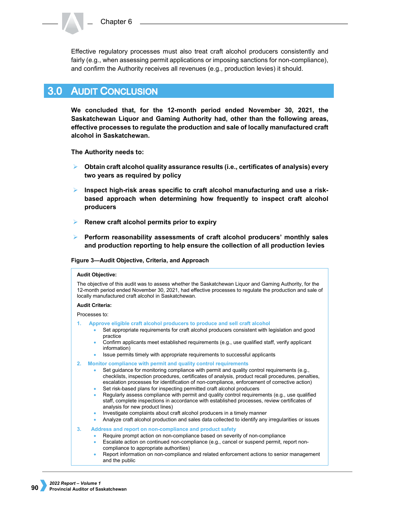Effective regulatory processes must also treat craft alcohol producers consistently and fairly (e.g., when assessing permit applications or imposing sanctions for non-compliance), and confirm the Authority receives all revenues (e.g., production levies) it should.

#### $3.0<sub>1</sub>$ **AUDIT CONCLUSION**

**We concluded that, for the 12-month period ended November 30, 2021, the Saskatchewan Liquor and Gaming Authority had, other than the following areas, effective processes to regulate the production and sale of locally manufactured craft alcohol in Saskatchewan.**

**The Authority needs to:**

- **Obtain craft alcohol quality assurance results (i.e., certificates of analysis) every two years as required by policy**
- **Inspect high-risk areas specific to craft alcohol manufacturing and use a riskbased approach when determining how frequently to inspect craft alcohol producers**
- **Renew craft alcohol permits prior to expiry**
- **Perform reasonability assessments of craft alcohol producers' monthly sales and production reporting to help ensure the collection of all production levies**

### **Figure 3—Audit Objective, Criteria, and Approach**

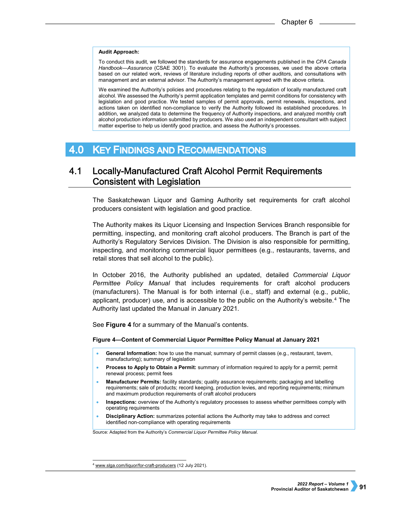### **Audit Approach:**

To conduct this audit, we followed the standards for assurance engagements published in the *CPA Canada Handbook—Assurance* (CSAE 3001). To evaluate the Authority's processes, we used the above criteria based on our related work, reviews of literature including reports of other auditors, and consultations with management and an external advisor. The Authority's management agreed with the above criteria.

We examined the Authority's policies and procedures relating to the regulation of locally manufactured craft alcohol. We assessed the Authority's permit application templates and permit conditions for consistency with legislation and good practice. We tested samples of permit approvals, permit renewals, inspections, and actions taken on identified non-compliance to verify the Authority followed its established procedures. In addition, we analyzed data to determine the frequency of Authority inspections, and analyzed monthly craft alcohol production information submitted by producers. We also used an independent consultant with subject matter expertise to help us identify good practice, and assess the Authority's processes.

#### **KEY FINDINGS AND RECOMMENDATIONS** 4.0

### $4.1$ Locally-Manufactured Craft Alcohol Permit Requirements **Consistent with Legislation**

The Saskatchewan Liquor and Gaming Authority set requirements for craft alcohol producers consistent with legislation and good practice.

The Authority makes its Liquor Licensing and Inspection Services Branch responsible for permitting, inspecting, and monitoring craft alcohol producers. The Branch is part of the Authority's Regulatory Services Division. The Division is also responsible for permitting, inspecting, and monitoring commercial liquor permittees (e.g., restaurants, taverns, and retail stores that sell alcohol to the public).

In October 2016, the Authority published an updated, detailed *Commercial Liquor Permittee Policy Manual* that includes requirements for craft alcohol producers (manufacturers). The Manual is for both internal (i.e., staff) and external (e.g., public, applicant, producer) use, and is accessible to the public on the Authority's website. $4$  The Authority last updated the Manual in January 2021.

See **Figure 4** for a summary of the Manual's contents.

### **Figure 4—Content of Commercial Liquor Permittee Policy Manual at January 2021**

- **General Information:** how to use the manual; summary of permit classes (e.g., restaurant, tavern, manufacturing); summary of legislation
- **Process to Apply to Obtain a Permit:** summary of information required to apply for a permit; permit renewal process; permit fees
- **Manufacturer Permits:** facility standards; quality assurance requirements; packaging and labelling requirements; sale of products; record keeping, production levies, and reporting requirements; minimum and maximum production requirements of craft alcohol producers
- **Inspections:** overview of the Authority's regulatory processes to assess whether permittees comply with operating requirements
- **Disciplinary Action:** summarizes potential actions the Authority may take to address and correct identified non-compliance with operating requirements

Source: Adapted from the Authority's *Commercial Liquor Permittee Policy Manual*.

<span id="page-4-0"></span><sup>4</sup> [www.slga.com/liquor/for-craft-producers](http://www.slga.com/liquor/for-craft-producers) (12 July 2021).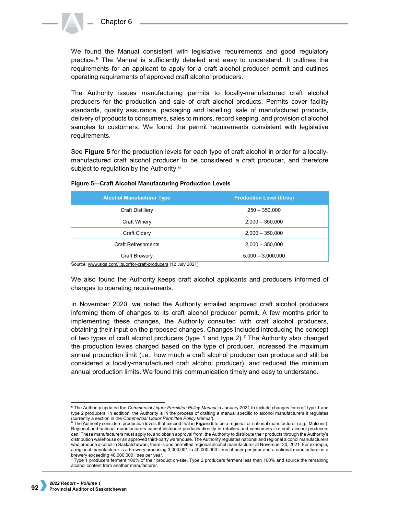

We found the Manual consistent with legislative requirements and good regulatory practice.[5](#page-5-0) The Manual is sufficiently detailed and easy to understand. It outlines the requirements for an applicant to apply for a craft alcohol producer permit and outlines operating requirements of approved craft alcohol producers.

The Authority issues manufacturing permits to locally-manufactured craft alcohol producers for the production and sale of craft alcohol products. Permits cover facility standards, quality assurance, packaging and labelling, sale of manufactured products, delivery of products to consumers, sales to minors, record keeping, and provision of alcohol samples to customers. We found the permit requirements consistent with legislative requirements.

See **Figure 5** for the production levels for each type of craft alcohol in order for a locallymanufactured craft alcohol producer to be considered a craft producer, and therefore subject to regulation by the Authority.<sup>[6](#page-5-1)</sup>

| <b>Alcohol Manufacturer Type</b> | <b>Production Level (litres)</b> |  |  |
|----------------------------------|----------------------------------|--|--|
| <b>Craft Distillery</b>          | $250 - 350,000$                  |  |  |
| Craft Winery                     | $2,000 - 350,000$                |  |  |
| Craft Cidery                     | $2,000 - 350,000$                |  |  |
| <b>Craft Refreshments</b>        | $2,000 - 350,000$                |  |  |
| Craft Brewery                    | $5,000 - 3,000,000$              |  |  |

### **Figure 5—Craft Alcohol Manufacturing Production Levels**

Source: [www.slga.com/liquor/for-craft-producers](http://www.slga.com/liquor/for-craft-producers) (12 July 2021).

We also found the Authority keeps craft alcohol applicants and producers informed of changes to operating requirements.

In November 2020, we noted the Authority emailed approved craft alcohol producers informing them of changes to its craft alcohol producer permit. A few months prior to implementing these changes, the Authority consulted with craft alcohol producers, obtaining their input on the proposed changes. Changes included introducing the concept of two types of craft alcohol producers (type 1 and type  $2$ ). The Authority also changed the production levies charged based on the type of producer, increased the maximum annual production limit (i.e., how much a craft alcohol producer can produce and still be considered a locally-manufactured craft alcohol producer), and reduced the minimum annual production limits. We found this communication timely and easy to understand.

<span id="page-5-0"></span> <sup>5</sup> The Authority updated the *Commercial Liquor Permittee Policy Manual* in January 2021 to include changes for craft type 1 and type 2 producers. In addition, the Authority is in the process of drafting a manual specific to alcohol manufacturers it regulates

<span id="page-5-1"></span><sup>(</sup>currently a section in the *Commercial Liquor Permittee Policy Manual*).<br><sup>6</sup> The Authority considers production levels that exceed that in **Figure 5** to be a regional or national manufacturer (e.g., Molsons). Regional and national manufacturers cannot distribute products directly to retailers and consumers like craft alcohol producers can. These manufacturers must apply to, and obtain approval from, the Authority to distribute their products through the Authority's distribution warehouse or an approved third-party warehouse. The Authority regulates national and regional alcohol manufacturers who produce alcohol in Saskatchewan; there is one permitted regional alcohol manufacturer at November 30, 2021. For example, a regional manufacturer is a brewery producing 3,000,001 to 40,000,000 litres of beer per year and a national manufacturer is a brewery exceeding 40,000,000 litres per year.

<span id="page-5-2"></span><sup>7</sup> Type 1 producers ferment 100% of their product on-site. Type 2 producers ferment less than 100% and source the remaining alcohol content from another manufacturer.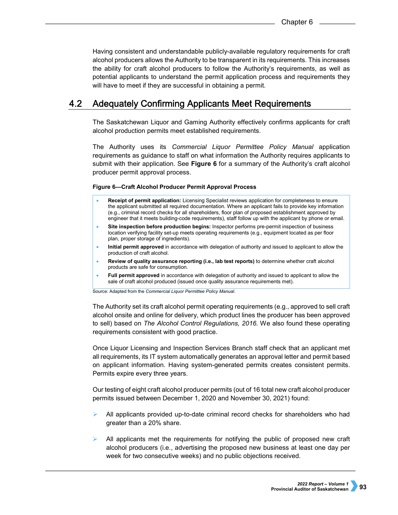Having consistent and understandable publicly-available regulatory requirements for craft alcohol producers allows the Authority to be transparent in its requirements. This increases the ability for craft alcohol producers to follow the Authority's requirements, as well as potential applicants to understand the permit application process and requirements they will have to meet if they are successful in obtaining a permit.

#### $4.2<sub>1</sub>$ **Adequately Confirming Applicants Meet Requirements**

The Saskatchewan Liquor and Gaming Authority effectively confirms applicants for craft alcohol production permits meet established requirements.

The Authority uses its *Commercial Liquor Permittee Policy Manual* application requirements as guidance to staff on what information the Authority requires applicants to submit with their application. See **Figure 6** for a summary of the Authority's craft alcohol producer permit approval process.

### **Figure 6—Craft Alcohol Producer Permit Approval Process**

- **Receipt of permit application:** Licensing Specialist reviews application for completeness to ensure the applicant submitted all required documentation. Where an applicant fails to provide key information (e.g., criminal record checks for all shareholders, floor plan of proposed establishment approved by engineer that it meets building-code requirements), staff follow up with the applicant by phone or email.
- **Site inspection before production begins:** Inspector performs pre-permit inspection of business location verifying facility set-up meets operating requirements (e.g., equipment located as per floor plan, proper storage of ingredients).
- **Initial permit approved** in accordance with delegation of authority and issued to applicant to allow the production of craft alcohol.
- **Review of quality assurance reporting (i.e., lab test reports)** to determine whether craft alcohol products are safe for consumption.
- **Full permit approved** in accordance with delegation of authority and issued to applicant to allow the sale of craft alcohol produced (issued once quality assurance requirements met).

Source: Adapted from the *Commercial Liquor Permittee Policy Manual*.

The Authority set its craft alcohol permit operating requirements (e.g., approved to sell craft alcohol onsite and online for delivery, which product lines the producer has been approved to sell) based on *The Alcohol Control Regulations, 2016.* We also found these operating requirements consistent with good practice.

Once Liquor Licensing and Inspection Services Branch staff check that an applicant met all requirements, its IT system automatically generates an approval letter and permit based on applicant information. Having system-generated permits creates consistent permits. Permits expire every three years.

Our testing of eight craft alcohol producer permits (out of 16 total new craft alcohol producer permits issued between December 1, 2020 and November 30, 2021) found:

- All applicants provided up-to-date criminal record checks for shareholders who had greater than a 20% share.
- All applicants met the requirements for notifying the public of proposed new craft alcohol producers (i.e., advertising the proposed new business at least one day per week for two consecutive weeks) and no public objections received.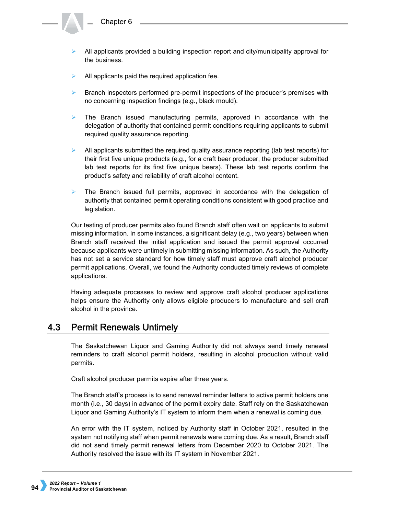- All applicants provided a building inspection report and city/municipality approval for the business.
- $\blacktriangleright$  All applicants paid the required application fee.
- $\triangleright$  Branch inspectors performed pre-permit inspections of the producer's premises with no concerning inspection findings (e.g., black mould).
- $\triangleright$  The Branch issued manufacturing permits, approved in accordance with the delegation of authority that contained permit conditions requiring applicants to submit required quality assurance reporting.
- $\triangleright$  All applicants submitted the required quality assurance reporting (lab test reports) for their first five unique products (e.g., for a craft beer producer, the producer submitted lab test reports for its first five unique beers). These lab test reports confirm the product's safety and reliability of craft alcohol content.
- $\triangleright$  The Branch issued full permits, approved in accordance with the delegation of authority that contained permit operating conditions consistent with good practice and legislation.

Our testing of producer permits also found Branch staff often wait on applicants to submit missing information. In some instances, a significant delay (e.g., two years) between when Branch staff received the initial application and issued the permit approval occurred because applicants were untimely in submitting missing information. As such, the Authority has not set a service standard for how timely staff must approve craft alcohol producer permit applications. Overall, we found the Authority conducted timely reviews of complete applications.

Having adequate processes to review and approve craft alcohol producer applications helps ensure the Authority only allows eligible producers to manufacture and sell craft alcohol in the province.

#### 4.3 **Permit Renewals Untimely**

The Saskatchewan Liquor and Gaming Authority did not always send timely renewal reminders to craft alcohol permit holders, resulting in alcohol production without valid permits.

Craft alcohol producer permits expire after three years.

The Branch staff's process is to send renewal reminder letters to active permit holders one month (i.e., 30 days) in advance of the permit expiry date. Staff rely on the Saskatchewan Liquor and Gaming Authority's IT system to inform them when a renewal is coming due.

An error with the IT system, noticed by Authority staff in October 2021, resulted in the system not notifying staff when permit renewals were coming due. As a result, Branch staff did not send timely permit renewal letters from December 2020 to October 2021. The Authority resolved the issue with its IT system in November 2021.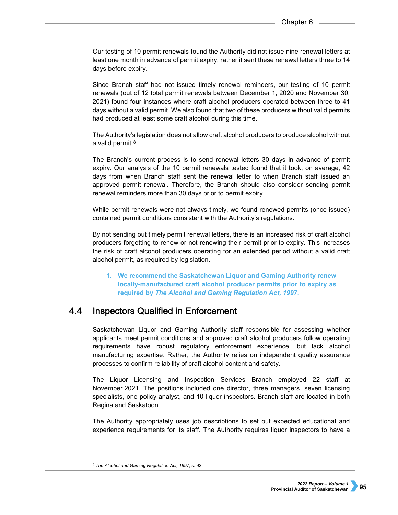Our testing of 10 permit renewals found the Authority did not issue nine renewal letters at least one month in advance of permit expiry, rather it sent these renewal letters three to 14 days before expiry.

Since Branch staff had not issued timely renewal reminders, our testing of 10 permit renewals (out of 12 total permit renewals between December 1, 2020 and November 30, 2021) found four instances where craft alcohol producers operated between three to 41 days without a valid permit. We also found that two of these producers without valid permits had produced at least some craft alcohol during this time.

The Authority's legislation does not allow craft alcohol producers to produce alcohol without a valid permit.<sup>[8](#page-8-0)</sup>

The Branch's current process is to send renewal letters 30 days in advance of permit expiry. Our analysis of the 10 permit renewals tested found that it took, on average, 42 days from when Branch staff sent the renewal letter to when Branch staff issued an approved permit renewal. Therefore, the Branch should also consider sending permit renewal reminders more than 30 days prior to permit expiry.

While permit renewals were not always timely, we found renewed permits (once issued) contained permit conditions consistent with the Authority's regulations.

By not sending out timely permit renewal letters, there is an increased risk of craft alcohol producers forgetting to renew or not renewing their permit prior to expiry. This increases the risk of craft alcohol producers operating for an extended period without a valid craft alcohol permit, as required by legislation.

**1. We recommend the Saskatchewan Liquor and Gaming Authority renew locally-manufactured craft alcohol producer permits prior to expiry as required by** *The Alcohol and Gaming Regulation Act, 1997***.**

#### 4.4 **Inspectors Qualified in Enforcement**

Saskatchewan Liquor and Gaming Authority staff responsible for assessing whether applicants meet permit conditions and approved craft alcohol producers follow operating requirements have robust regulatory enforcement experience, but lack alcohol manufacturing expertise. Rather, the Authority relies on independent quality assurance processes to confirm reliability of craft alcohol content and safety.

The Liquor Licensing and Inspection Services Branch employed 22 staff at November 2021. The positions included one director, three managers, seven licensing specialists, one policy analyst, and 10 liquor inspectors. Branch staff are located in both Regina and Saskatoon.

The Authority appropriately uses job descriptions to set out expected educational and experience requirements for its staff. The Authority requires liquor inspectors to have a

<span id="page-8-0"></span> <sup>8</sup> *The Alcohol and Gaming Regulation Act, 1997*, s. 92.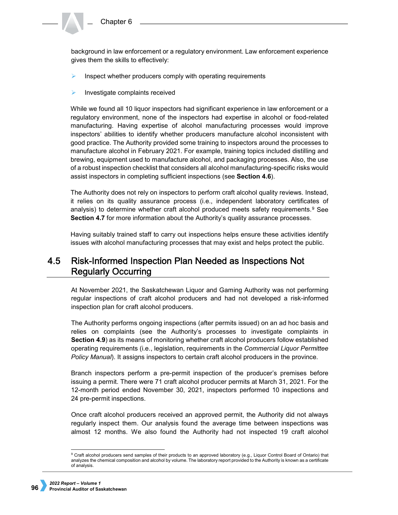background in law enforcement or a regulatory environment. Law enforcement experience gives them the skills to effectively:

- Inspect whether producers comply with operating requirements
- Investigate complaints received

While we found all 10 liquor inspectors had significant experience in law enforcement or a regulatory environment, none of the inspectors had expertise in alcohol or food-related manufacturing. Having expertise of alcohol manufacturing processes would improve inspectors' abilities to identify whether producers manufacture alcohol inconsistent with good practice. The Authority provided some training to inspectors around the processes to manufacture alcohol in February 2021. For example, training topics included distilling and brewing, equipment used to manufacture alcohol, and packaging processes. Also, the use of a robust inspection checklist that considers all alcohol manufacturing-specific risks would assist inspectors in completing sufficient inspections (see **Section 4.6**).

The Authority does not rely on inspectors to perform craft alcohol quality reviews. Instead, it relies on its quality assurance process (i.e., independent laboratory certificates of analysis) to determine whether craft alcohol produced meets safety requirements.<sup>[9](#page-9-0)</sup> See **Section 4.7** for more information about the Authority's quality assurance processes.

Having suitably trained staff to carry out inspections helps ensure these activities identify issues with alcohol manufacturing processes that may exist and helps protect the public.

### $4.5$ Risk-Informed Inspection Plan Needed as Inspections Not **Regularly Occurring**

At November 2021, the Saskatchewan Liquor and Gaming Authority was not performing regular inspections of craft alcohol producers and had not developed a risk-informed inspection plan for craft alcohol producers.

The Authority performs ongoing inspections (after permits issued) on an ad hoc basis and relies on complaints (see the Authority's processes to investigate complaints in **Section 4.9**) as its means of monitoring whether craft alcohol producers follow established operating requirements (i.e., legislation, requirements in the *Commercial Liquor Permittee Policy Manual*). It assigns inspectors to certain craft alcohol producers in the province.

Branch inspectors perform a pre-permit inspection of the producer's premises before issuing a permit. There were 71 craft alcohol producer permits at March 31, 2021. For the 12-month period ended November 30, 2021, inspectors performed 10 inspections and 24 pre-permit inspections.

Once craft alcohol producers received an approved permit, the Authority did not always regularly inspect them. Our analysis found the average time between inspections was almost 12 months. We also found the Authority had not inspected 19 craft alcohol

<span id="page-9-0"></span><sup>9</sup> Craft alcohol producers send samples of their products to an approved laboratory (e.g., Liquor Control Board of Ontario) that analyzes the chemical composition and alcohol by volume. The laboratory report provided to the Authority is known as a certificate of analysis.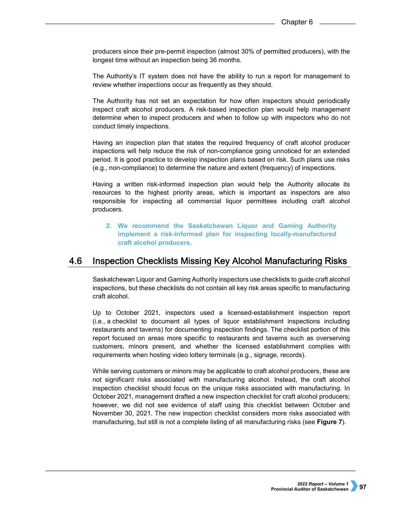producers since their pre-permit inspection (almost 30% of permitted producers), with the longest time without an inspection being 36 months.

The Authority's IT system does not have the ability to run a report for management to review whether inspections occur as frequently as they should.

The Authority has not set an expectation for how often inspectors should periodically inspect craft alcohol producers. A risk-based inspection plan would help management determine when to inspect producers and when to follow up with inspectors who do not conduct timely inspections.

Having an inspection plan that states the required frequency of craft alcohol producer inspections will help reduce the risk of non-compliance going unnoticed for an extended period. It is good practice to develop inspection plans based on risk. Such plans use risks (e.g., non-compliance) to determine the nature and extent (frequency) of inspections.

Having a written risk-informed inspection plan would help the Authority allocate its resources to the highest priority areas, which is important as inspectors are also responsible for inspecting all commercial liquor permittees including craft alcohol producers.

**2. We recommend the Saskatchewan Liquor and Gaming Authority implement a risk-informed plan for inspecting locally-manufactured craft alcohol producers.**

#### **Inspection Checklists Missing Key Alcohol Manufacturing Risks** 4.6

Saskatchewan Liquor and Gaming Authority inspectors use checklists to guide craft alcohol inspections, but these checklists do not contain all key risk areas specific to manufacturing craft alcohol.

Up to October 2021, inspectors used a licensed-establishment inspection report (i.e., a checklist to document all types of liquor establishment inspections including restaurants and taverns) for documenting inspection findings. The checklist portion of this report focused on areas more specific to restaurants and taverns such as overserving customers, minors present, and whether the licensed establishment complies with requirements when hosting video lottery terminals (e.g., signage, records).

While serving customers or minors may be applicable to craft alcohol producers, these are not significant risks associated with manufacturing alcohol. Instead, the craft alcohol inspection checklist should focus on the unique risks associated with manufacturing. In October 2021, management drafted a new inspection checklist for craft alcohol producers; however, we did not see evidence of staff using this checklist between October and November 30, 2021. The new inspection checklist considers more risks associated with manufacturing, but still is not a complete listing of all manufacturing risks (see **Figure 7**).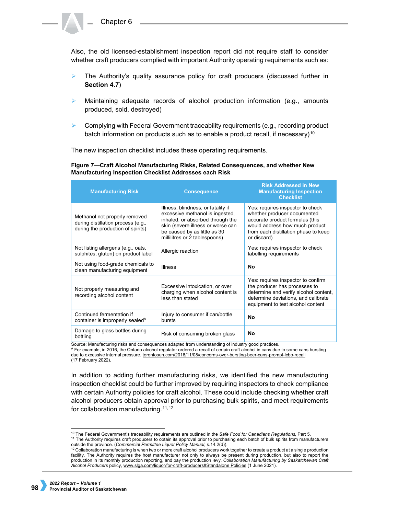Also, the old licensed-establishment inspection report did not require staff to consider whether craft producers complied with important Authority operating requirements such as:

- $\triangleright$  The Authority's quality assurance policy for craft producers (discussed further in **Section 4.7**)
- Maintaining adequate records of alcohol production information (e.g., amounts produced, sold, destroyed)
- $\triangleright$  Complying with Federal Government traceability requirements (e.g., recording product batch information on products such as to enable a product recall, if necessary)<sup>[10](#page-11-0)</sup>

The new inspection checklist includes these operating requirements.

**Figure 7—Craft Alcohol Manufacturing Risks, Related Consequences, and whether New Manufacturing Inspection Checklist Addresses each Risk**

| <b>Manufacturing Risk</b>                                                                                | <b>Consequence</b>                                                                                                                                                                                              | <b>Risk Addressed in New</b><br><b>Manufacturing Inspection</b><br><b>Checklist</b>                                                                                                         |  |
|----------------------------------------------------------------------------------------------------------|-----------------------------------------------------------------------------------------------------------------------------------------------------------------------------------------------------------------|---------------------------------------------------------------------------------------------------------------------------------------------------------------------------------------------|--|
| Methanol not properly removed<br>during distillation process (e.g.,<br>during the production of spirits) | Illness, blindness, or fatality if<br>excessive methanol is ingested.<br>inhaled, or absorbed through the<br>skin (severe illness or worse can<br>be caused by as little as 30<br>millilitres or 2 tablespoons) | Yes: requires inspector to check<br>whether producer documented<br>accurate product formulas (this<br>would address how much product<br>from each distillation phase to keep<br>or discard) |  |
| Not listing allergens (e.g., oats,<br>sulphites, gluten) on product label                                | Allergic reaction                                                                                                                                                                                               | Yes: requires inspector to check<br>labelling requirements                                                                                                                                  |  |
| Not using food-grade chemicals to<br>clean manufacturing equipment                                       | <b>Illness</b>                                                                                                                                                                                                  | No                                                                                                                                                                                          |  |
| Not properly measuring and<br>recording alcohol content                                                  | Excessive intoxication, or over<br>charging when alcohol content is<br>less than stated                                                                                                                         | Yes: requires inspector to confirm<br>the producer has processes to<br>determine and verify alcohol content,<br>determine deviations, and calibrate<br>equipment to test alcohol content    |  |
| Continued fermentation if<br>container is improperly sealed <sup>A</sup>                                 | Injury to consumer if can/bottle<br>bursts                                                                                                                                                                      | <b>No</b>                                                                                                                                                                                   |  |
| Damage to glass bottles during<br>bottling                                                               | Risk of consuming broken glass                                                                                                                                                                                  | No                                                                                                                                                                                          |  |

Source: Manufacturing risks and consequences adapted from understanding of industry good practices.

<sup>A</sup> For example, in 2016, the Ontario alcohol regulator ordered a recall of certain craft alcohol in cans due to some cans bursting due to excessive internal pressure. [torontosun.com/2016/11/08/concerns-over-bursting-beer-cans-prompt-lcbo-recall](https://torontosun.com/2016/11/08/concerns-over-bursting-beer-cans-prompt-lcbo-recall) (17 February 2022).

In addition to adding further manufacturing risks, we identified the new manufacturing inspection checklist could be further improved by requiring inspectors to check compliance with certain Authority policies for craft alcohol. These could include checking whether craft alcohol producers obtain approval prior to purchasing bulk spirits, and meet requirements for collaboration manufacturing.<sup>[11](#page-11-1),[12](#page-11-2)</sup>

<span id="page-11-1"></span><span id="page-11-0"></span> <sup>10</sup> The Federal Government's traceability requirements are outlined in the *Safe Food for Canadians Regulations*, Part 5. <sup>11</sup> The Authority requires craft producers to obtain its approval prior to purchasing each batch of bulk spirits from manufacturers

<span id="page-11-2"></span>outside the province. (*Commercial Permittee Liquor Policy Manual*, s.14.2(d)).<br><sup>12</sup> Collaboration manufacturing is when two or more craft alcohol producers work together to create a product at a single production facility. The Authority requires the host manufacturer not only to always be present during production, but also to report the production in its monthly production reporting, and pay the production levy. *Collaboration Manufacturing by Saskatchewan Craft Alcohol Producers* policy, [www.slga.com/liquor/for-craft-producers#Standalone Policies](http://www.slga.com/liquor/for-craft-producers#Standalone%20Policies) (1 June 2021).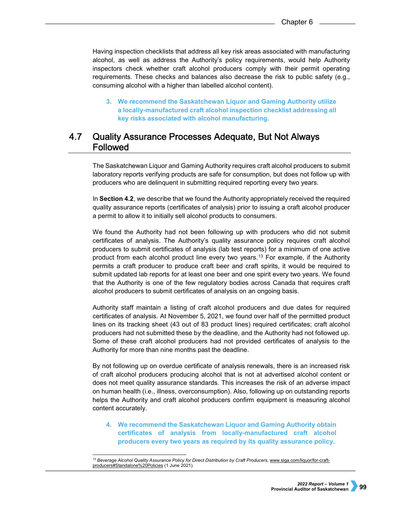Having inspection checklists that address all key risk areas associated with manufacturing alcohol, as well as address the Authority's policy requirements, would help Authority inspectors check whether craft alcohol producers comply with their permit operating requirements. These checks and balances also decrease the risk to public safety (e.g., consuming alcohol with a higher than labelled alcohol content).

**3. We recommend the Saskatchewan Liquor and Gaming Authority utilize a locally-manufactured craft alcohol inspection checklist addressing all key risks associated with alcohol manufacturing.**

### 4.7 **Quality Assurance Processes Adequate, But Not Always Followed**

The Saskatchewan Liquor and Gaming Authority requires craft alcohol producers to submit laboratory reports verifying products are safe for consumption, but does not follow up with producers who are delinquent in submitting required reporting every two years.

In **Section 4.2**, we describe that we found the Authority appropriately received the required quality assurance reports (certificates of analysis) prior to issuing a craft alcohol producer a permit to allow it to initially sell alcohol products to consumers.

We found the Authority had not been following up with producers who did not submit certificates of analysis. The Authority's quality assurance policy requires craft alcohol producers to submit certificates of analysis (lab test reports) for a minimum of one active product from each alcohol product line every two years.<sup>[13](#page-12-0)</sup> For example, if the Authority permits a craft producer to produce craft beer and craft spirits, it would be required to submit updated lab reports for at least one beer and one spirit every two years. We found that the Authority is one of the few regulatory bodies across Canada that requires craft alcohol producers to submit certificates of analysis on an ongoing basis.

Authority staff maintain a listing of craft alcohol producers and due dates for required certificates of analysis. At November 5, 2021, we found over half of the permitted product lines on its tracking sheet (43 out of 83 product lines) required certificates; craft alcohol producers had not submitted these by the deadline, and the Authority had not followed up. Some of these craft alcohol producers had not provided certificates of analysis to the Authority for more than nine months past the deadline.

By not following up on overdue certificate of analysis renewals, there is an increased risk of craft alcohol producers producing alcohol that is not at advertised alcohol content or does not meet quality assurance standards. This increases the risk of an adverse impact on human health (i.e., illness, overconsumption). Also, following up on outstanding reports helps the Authority and craft alcohol producers confirm equipment is measuring alcohol content accurately.

**4. We recommend the Saskatchewan Liquor and Gaming Authority obtain certificates of analysis from locally-manufactured craft alcohol producers every two years as required by its quality assurance policy.**

<span id="page-12-0"></span> <sup>13</sup> *Beverage Alcohol Quality Assurance Policy for Direct Distribution by Craft Producers*[, www.slga.com/liquor/for-craft](http://www.slga.com/liquor/for-craft-producers#Standalone%20Policies)[producers#Standalone%20Policies](http://www.slga.com/liquor/for-craft-producers#Standalone%20Policies) (1 June 2021).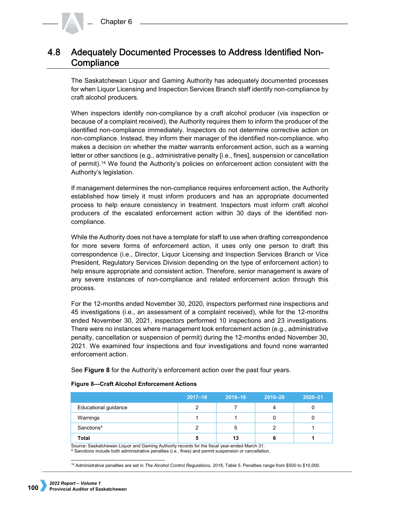### Adequately Documented Processes to Address Identified Non-4.8 Compliance

The Saskatchewan Liquor and Gaming Authority has adequately documented processes for when Liquor Licensing and Inspection Services Branch staff identify non-compliance by craft alcohol producers.

When inspectors identify non-compliance by a craft alcohol producer (via inspection or because of a complaint received), the Authority requires them to inform the producer of the identified non-compliance immediately. Inspectors do not determine corrective action on non-compliance. Instead, they inform their manager of the identified non-compliance, who makes a decision on whether the matter warrants enforcement action, such as a warning letter or other sanctions (e.g., administrative penalty [i.e., fines], suspension or cancellation of permit).[14](#page-13-0) We found the Authority's policies on enforcement action consistent with the Authority's legislation.

If management determines the non-compliance requires enforcement action, the Authority established how timely it must inform producers and has an appropriate documented process to help ensure consistency in treatment. Inspectors must inform craft alcohol producers of the escalated enforcement action within 30 days of the identified noncompliance.

While the Authority does not have a template for staff to use when drafting correspondence for more severe forms of enforcement action, it uses only one person to draft this correspondence (i.e., Director, Liquor Licensing and Inspection Services Branch or Vice President, Regulatory Services Division depending on the type of enforcement action) to help ensure appropriate and consistent action. Therefore, senior management is aware of any severe instances of non-compliance and related enforcement action through this process.

For the 12-months ended November 30, 2020, inspectors performed nine inspections and 45 investigations (i.e., an assessment of a complaint received), while for the 12-months ended November 30, 2021, inspectors performed 10 inspections and 23 investigations. There were no instances where management took enforcement action (e.g., administrative penalty, cancellation or suspension of permit) during the 12-months ended November 30, 2021. We examined four inspections and four investigations and found none warranted enforcement action.

See **Figure 8** for the Authority's enforcement action over the past four years.

|                        | $2017 - 18$ | $2018 - 19$ | $2019 - 20$ | $2020 - 21$ |
|------------------------|-------------|-------------|-------------|-------------|
| Educational guidance   |             |             | 4           |             |
| Warnings               |             |             |             |             |
| Sanctions <sup>A</sup> |             | .5          |             |             |
| <b>Total</b>           | 5           | 13          |             |             |

### **Figure 8—Craft Alcohol Enforcement Actions**

Source: Saskatchewan Liquor and Gaming Authority records for the fiscal year-ended March 31. <sup>A</sup> Sanctions include both administrative penalties (i.e., fines) and permit suspension or cancellation.

<span id="page-13-0"></span>14 Administrative penalties are set in *The Alcohol Control Regulations, 2016*, Table 5. Penalties range from \$500 to \$10,000.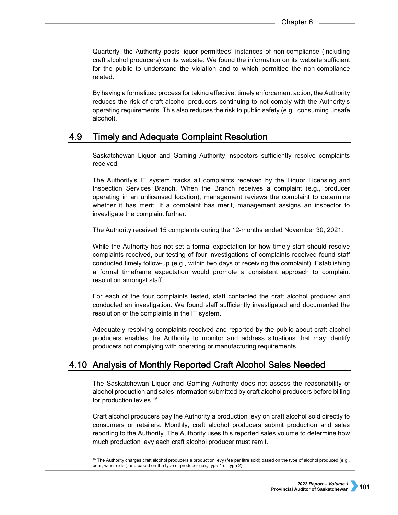Quarterly, the Authority posts liquor permittees' instances of non-compliance (including craft alcohol producers) on its website. We found the information on its website sufficient for the public to understand the violation and to which permittee the non-compliance related.

By having a formalized process for taking effective, timely enforcement action, the Authority reduces the risk of craft alcohol producers continuing to not comply with the Authority's operating requirements. This also reduces the risk to public safety (e.g., consuming unsafe alcohol).

#### 4.9 **Timely and Adequate Complaint Resolution**

Saskatchewan Liquor and Gaming Authority inspectors sufficiently resolve complaints received.

The Authority's IT system tracks all complaints received by the Liquor Licensing and Inspection Services Branch. When the Branch receives a complaint (e.g., producer operating in an unlicensed location), management reviews the complaint to determine whether it has merit. If a complaint has merit, management assigns an inspector to investigate the complaint further.

The Authority received 15 complaints during the 12-months ended November 30, 2021.

While the Authority has not set a formal expectation for how timely staff should resolve complaints received, our testing of four investigations of complaints received found staff conducted timely follow-up (e.g., within two days of receiving the complaint). Establishing a formal timeframe expectation would promote a consistent approach to complaint resolution amongst staff.

For each of the four complaints tested, staff contacted the craft alcohol producer and conducted an investigation. We found staff sufficiently investigated and documented the resolution of the complaints in the IT system.

Adequately resolving complaints received and reported by the public about craft alcohol producers enables the Authority to monitor and address situations that may identify producers not complying with operating or manufacturing requirements.

# 4.10 Analysis of Monthly Reported Craft Alcohol Sales Needed

The Saskatchewan Liquor and Gaming Authority does not assess the reasonability of alcohol production and sales information submitted by craft alcohol producers before billing for production levies.<sup>[15](#page-14-0)</sup>

Craft alcohol producers pay the Authority a production levy on craft alcohol sold directly to consumers or retailers. Monthly, craft alcohol producers submit production and sales reporting to the Authority. The Authority uses this reported sales volume to determine how much production levy each craft alcohol producer must remit.

<span id="page-14-0"></span><sup>&</sup>lt;sup>15</sup> The Authority charges craft alcohol producers a production levy (fee per litre sold) based on the type of alcohol produced (e.g., beer, wine, cider) and based on the type of producer (i.e., type 1 or type 2).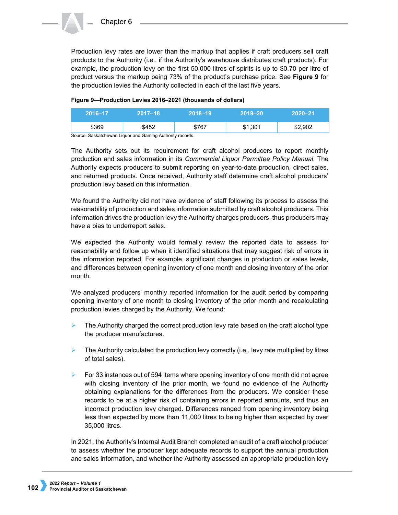Production levy rates are lower than the markup that applies if craft producers sell craft products to the Authority (i.e., if the Authority's warehouse distributes craft products). For example, the production levy on the first 50,000 litres of spirits is up to \$0.70 per litre of product versus the markup being 73% of the product's purchase price. See **Figure 9** for the production levies the Authority collected in each of the last five years.

### **Figure 9—Production Levies 2016–2021 (thousands of dollars)**

| 2016-17 | $2017 - 18$ | $2018 - 19$ | 2019-20 | $2020 - 21$ |
|---------|-------------|-------------|---------|-------------|
| \$369   | \$452       | \$767       | \$1,301 | \$2,902     |

Source: Saskatchewan Liquor and Gaming Authority records.

The Authority sets out its requirement for craft alcohol producers to report monthly production and sales information in its *Commercial Liquor Permittee Policy Manual*. The Authority expects producers to submit reporting on year-to-date production, direct sales, and returned products. Once received, Authority staff determine craft alcohol producers' production levy based on this information.

We found the Authority did not have evidence of staff following its process to assess the reasonability of production and sales information submitted by craft alcohol producers. This information drives the production levy the Authority charges producers, thus producers may have a bias to underreport sales.

We expected the Authority would formally review the reported data to assess for reasonability and follow up when it identified situations that may suggest risk of errors in the information reported. For example, significant changes in production or sales levels, and differences between opening inventory of one month and closing inventory of the prior month.

We analyzed producers' monthly reported information for the audit period by comparing opening inventory of one month to closing inventory of the prior month and recalculating production levies charged by the Authority. We found:

- $\triangleright$  The Authority charged the correct production levy rate based on the craft alcohol type the producer manufactures.
- The Authority calculated the production levy correctly (i.e., levy rate multiplied by litres of total sales).
- $\triangleright$  For 33 instances out of 594 items where opening inventory of one month did not agree with closing inventory of the prior month, we found no evidence of the Authority obtaining explanations for the differences from the producers. We consider these records to be at a higher risk of containing errors in reported amounts, and thus an incorrect production levy charged. Differences ranged from opening inventory being less than expected by more than 11,000 litres to being higher than expected by over 35,000 litres.

In 2021, the Authority's Internal Audit Branch completed an audit of a craft alcohol producer to assess whether the producer kept adequate records to support the annual production and sales information, and whether the Authority assessed an appropriate production levy